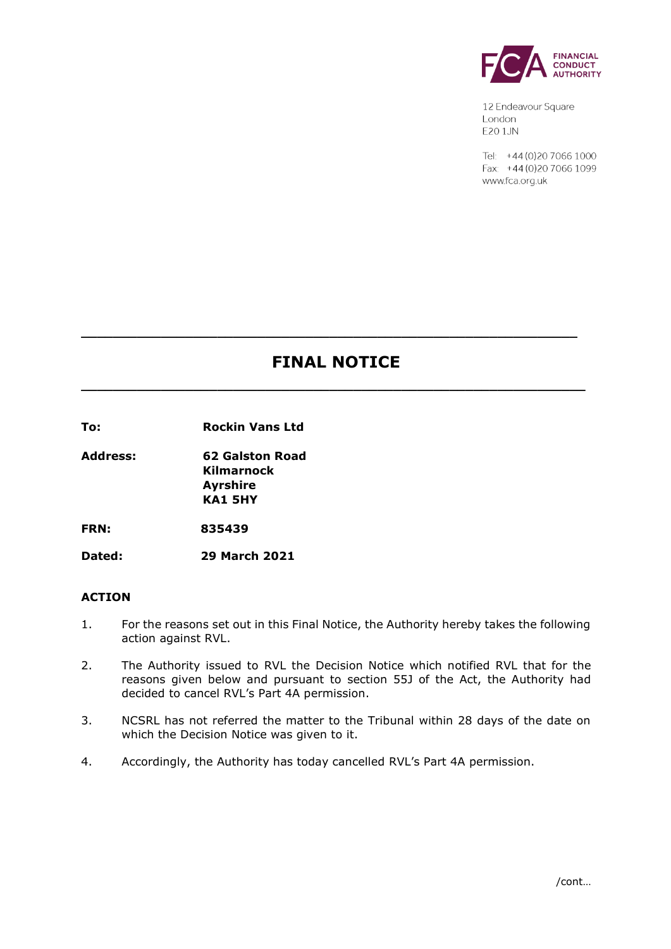

12 Endeavour Square London E201JN

Tel: +44 (0) 20 7066 1000 Fax: +44 (0) 20 7066 1099 www.fca.org.uk

# **FINAL NOTICE**

**\_\_\_\_\_\_\_\_\_\_\_\_\_\_\_\_\_\_\_\_\_\_\_\_\_\_\_\_\_\_\_\_\_\_\_\_\_\_\_\_\_\_\_\_\_\_\_\_\_\_\_\_\_\_\_\_\_\_\_\_\_\_\_**

**\_\_\_\_\_\_\_\_\_\_\_\_\_\_\_\_\_\_\_\_\_\_\_\_\_\_\_\_\_\_\_\_\_\_\_\_\_\_\_\_\_\_\_\_\_\_\_\_\_\_\_\_\_\_\_\_\_\_\_\_\_\_**

**To: Rockin Vans Ltd** 

**Address: 62 Galston Road Kilmarnock Ayrshire KA1 5HY**

**FRN: 835439**

**Dated: 29 March 2021**

#### **ACTION**

- 1. For the reasons set out in this Final Notice, the Authority hereby takes the following action against RVL.
- 2. The Authority issued to RVL the Decision Notice which notified RVL that for the reasons given below and pursuant to section 55J of the Act, the Authority had decided to cancel RVL's Part 4A permission.
- 3. NCSRL has not referred the matter to the Tribunal within 28 days of the date on which the Decision Notice was given to it.
- 4. Accordingly, the Authority has today cancelled RVL's Part 4A permission.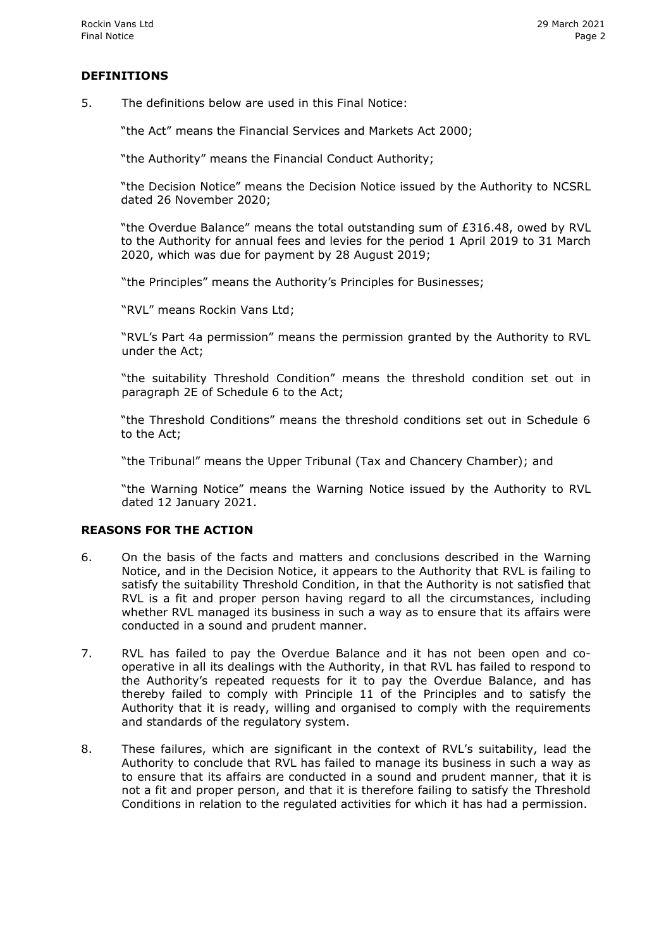## **DEFINITIONS**

5. The definitions below are used in this Final Notice:

"the Act" means the Financial Services and Markets Act 2000;

"the Authority" means the Financial Conduct Authority;

"the Decision Notice" means the Decision Notice issued by the Authority to NCSRL dated 26 November 2020;

"the Overdue Balance" means the total outstanding sum of £316.48, owed by RVL to the Authority for annual fees and levies for the period 1 April 2019 to 31 March 2020, which was due for payment by 28 August 2019;

"the Principles" means the Authority's Principles for Businesses;

"RVL" means Rockin Vans Ltd;

"RVL's Part 4a permission" means the permission granted by the Authority to RVL under the Act;

"the suitability Threshold Condition" means the threshold condition set out in paragraph 2E of Schedule 6 to the Act;

"the Threshold Conditions" means the threshold conditions set out in Schedule 6 to the Act;

"the Tribunal" means the Upper Tribunal (Tax and Chancery Chamber); and

"the Warning Notice" means the Warning Notice issued by the Authority to RVL dated 12 January 2021.

#### **REASONS FOR THE ACTION**

- 6. On the basis of the facts and matters and conclusions described in the Warning Notice, and in the Decision Notice, it appears to the Authority that RVL is failing to satisfy the suitability Threshold Condition, in that the Authority is not satisfied that RVL is a fit and proper person having regard to all the circumstances, including whether RVL managed its business in such a way as to ensure that its affairs were conducted in a sound and prudent manner.
- 7. RVL has failed to pay the Overdue Balance and it has not been open and cooperative in all its dealings with the Authority, in that RVL has failed to respond to the Authority's repeated requests for it to pay the Overdue Balance, and has thereby failed to comply with Principle 11 of the Principles and to satisfy the Authority that it is ready, willing and organised to comply with the requirements and standards of the regulatory system.
- 8. These failures, which are significant in the context of RVL's suitability, lead the Authority to conclude that RVL has failed to manage its business in such a way as to ensure that its affairs are conducted in a sound and prudent manner, that it is not a fit and proper person, and that it is therefore failing to satisfy the Threshold Conditions in relation to the regulated activities for which it has had a permission.